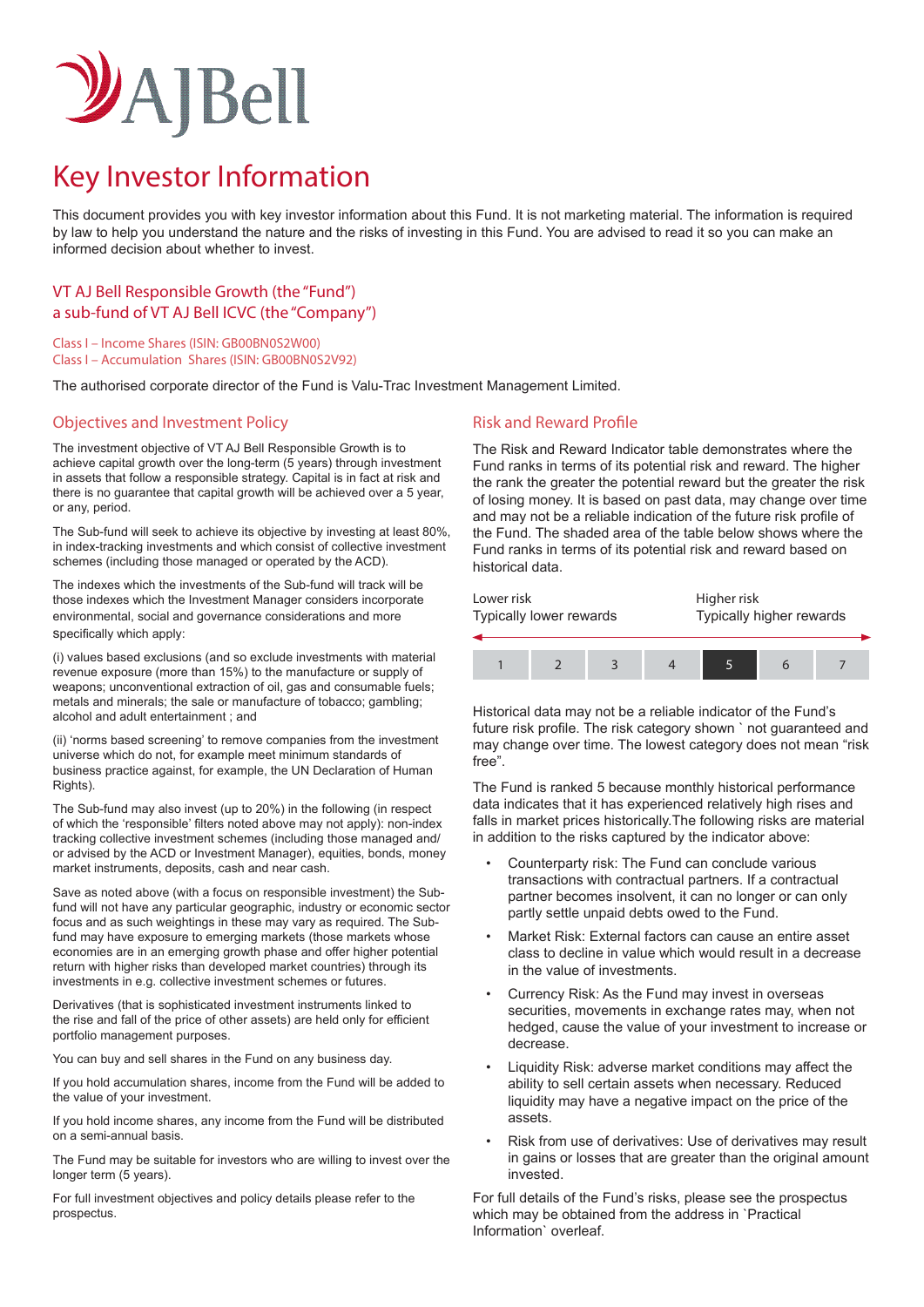# VAJBell

# Key Investor Information

This document provides you with key investor information about this Fund. It is not marketing material. The information is required by law to help you understand the nature and the risks of investing in this Fund. You are advised to read it so you can make an informed decision about whether to invest.

# VT AJ Bell Responsible Growth (the "Fund") a sub-fund of VT AJ Bell ICVC (the "Company")

Class I – Income Shares (ISIN: GB00BN0S2W00) Class I – Accumulation Shares (ISIN: GB00BN0S2V92)

The authorised corporate director of the Fund is Valu-Trac Investment Management Limited.

# Objectives and Investment Policy **Risk and Reward Profile** Risk and Reward Profile

The investment objective of VT AJ Bell Responsible Growth is to achieve capital growth over the long-term (5 years) through investment in assets that follow a responsible strategy. Capital is in fact at risk and there is no guarantee that capital growth will be achieved over a 5 year, or any, period.

The Sub-fund will seek to achieve its objective by investing at least 80%, in index-tracking investments and which consist of collective investment schemes (including those managed or operated by the ACD).

The indexes which the investments of the Sub-fund will track will be those indexes which the Investment Manager considers incorporate environmental, social and governance considerations and more specifically which apply:

(i) values based exclusions (and so exclude investments with material revenue exposure (more than 15%) to the manufacture or supply of weapons; unconventional extraction of oil, gas and consumable fuels; metals and minerals; the sale or manufacture of tobacco; gambling; alcohol and adult entertainment ; and

(ii) 'norms based screening' to remove companies from the investment universe which do not, for example meet minimum standards of business practice against, for example, the UN Declaration of Human Rights).

The Sub-fund may also invest (up to 20%) in the following (in respect of which the 'responsible' filters noted above may not apply): non-index tracking collective investment schemes (including those managed and/ or advised by the ACD or Investment Manager), equities, bonds, money market instruments, deposits, cash and near cash.

Save as noted above (with a focus on responsible investment) the Subfund will not have any particular geographic, industry or economic sector focus and as such weightings in these may vary as required. The Subfund may have exposure to emerging markets (those markets whose economies are in an emerging growth phase and offer higher potential return with higher risks than developed market countries) through its investments in e.g. collective investment schemes or futures.

Derivatives (that is sophisticated investment instruments linked to the rise and fall of the price of other assets) are held only for efficient portfolio management purposes.

You can buy and sell shares in the Fund on any business day.

If you hold accumulation shares, income from the Fund will be added to the value of your investment.

If you hold income shares, any income from the Fund will be distributed on a semi-annual basis.

The Fund may be suitable for investors who are willing to invest over the longer term (5 years).

For full investment objectives and policy details please refer to the prospectus.

The Risk and Reward Indicator table demonstrates where the Fund ranks in terms of its potential risk and reward. The higher the rank the greater the potential reward but the greater the risk of losing money. It is based on past data, may change over time and may not be a reliable indication of the future risk profile of the Fund. The shaded area of the table below shows where the Fund ranks in terms of its potential risk and reward based on historical data.

| Lower risk              |  |  |  | Higher risk              |  |  |
|-------------------------|--|--|--|--------------------------|--|--|
| Typically lower rewards |  |  |  | Typically higher rewards |  |  |
|                         |  |  |  |                          |  |  |

Historical data may not be a reliable indicator of the Fund's future risk profile. The risk category shown ` not guaranteed and may change over time. The lowest category does not mean "risk free".

The Fund is ranked 5 because monthly historical performance data indicates that it has experienced relatively high rises and falls in market prices historically.The following risks are material in addition to the risks captured by the indicator above:

- Counterparty risk: The Fund can conclude various transactions with contractual partners. If a contractual partner becomes insolvent, it can no longer or can only partly settle unpaid debts owed to the Fund.
- Market Risk: External factors can cause an entire asset class to decline in value which would result in a decrease in the value of investments.
- Currency Risk: As the Fund may invest in overseas securities, movements in exchange rates may, when not hedged, cause the value of your investment to increase or decrease.
- Liquidity Risk: adverse market conditions may affect the ability to sell certain assets when necessary. Reduced liquidity may have a negative impact on the price of the assets.
- Risk from use of derivatives: Use of derivatives may result in gains or losses that are greater than the original amount invested.

For full details of the Fund's risks, please see the prospectus which may be obtained from the address in `Practical Information` overleaf.